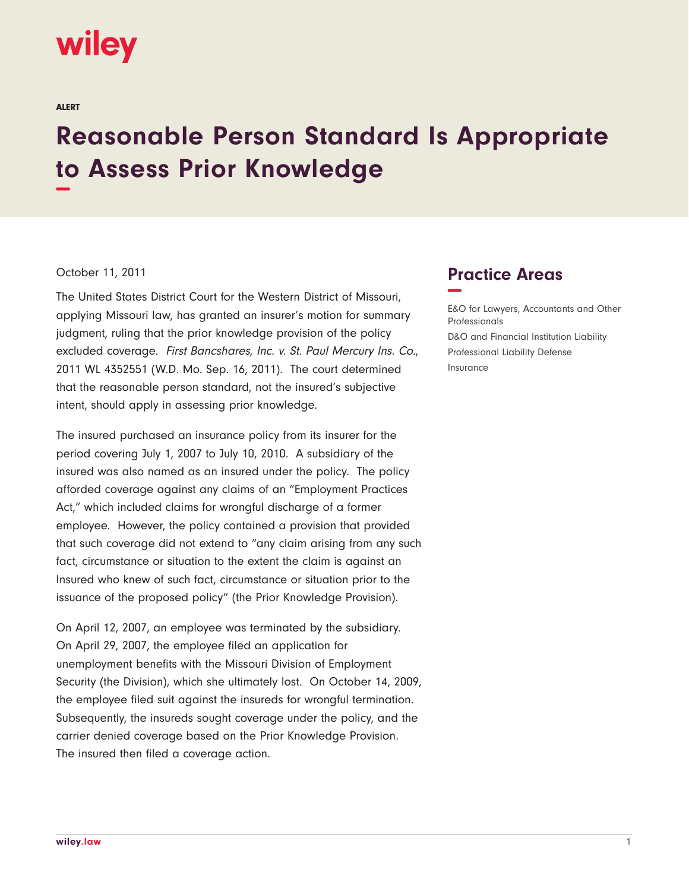## wiley

ALERT

## **Reasonable Person Standard Is Appropriate to Assess Prior Knowledge −**

## October 11, 2011

The United States District Court for the Western District of Missouri, applying Missouri law, has granted an insurer's motion for summary judgment, ruling that the prior knowledge provision of the policy excluded coverage. First Bancshares, Inc. v. St. Paul Mercury Ins. Co., 2011 WL 4352551 (W.D. Mo. Sep. 16, 2011). The court determined that the reasonable person standard, not the insured's subjective intent, should apply in assessing prior knowledge.

The insured purchased an insurance policy from its insurer for the period covering July 1, 2007 to July 10, 2010. A subsidiary of the insured was also named as an insured under the policy. The policy afforded coverage against any claims of an "Employment Practices Act," which included claims for wrongful discharge of a former employee. However, the policy contained a provision that provided that such coverage did not extend to "any claim arising from any such fact, circumstance or situation to the extent the claim is against an Insured who knew of such fact, circumstance or situation prior to the issuance of the proposed policy" (the Prior Knowledge Provision).

On April 12, 2007, an employee was terminated by the subsidiary. On April 29, 2007, the employee filed an application for unemployment benefits with the Missouri Division of Employment Security (the Division), which she ultimately lost. On October 14, 2009, the employee filed suit against the insureds for wrongful termination. Subsequently, the insureds sought coverage under the policy, and the carrier denied coverage based on the Prior Knowledge Provision. The insured then filed a coverage action.

## **Practice Areas −**

E&O for Lawyers, Accountants and Other Professionals D&O and Financial Institution Liability Professional Liability Defense Insurance